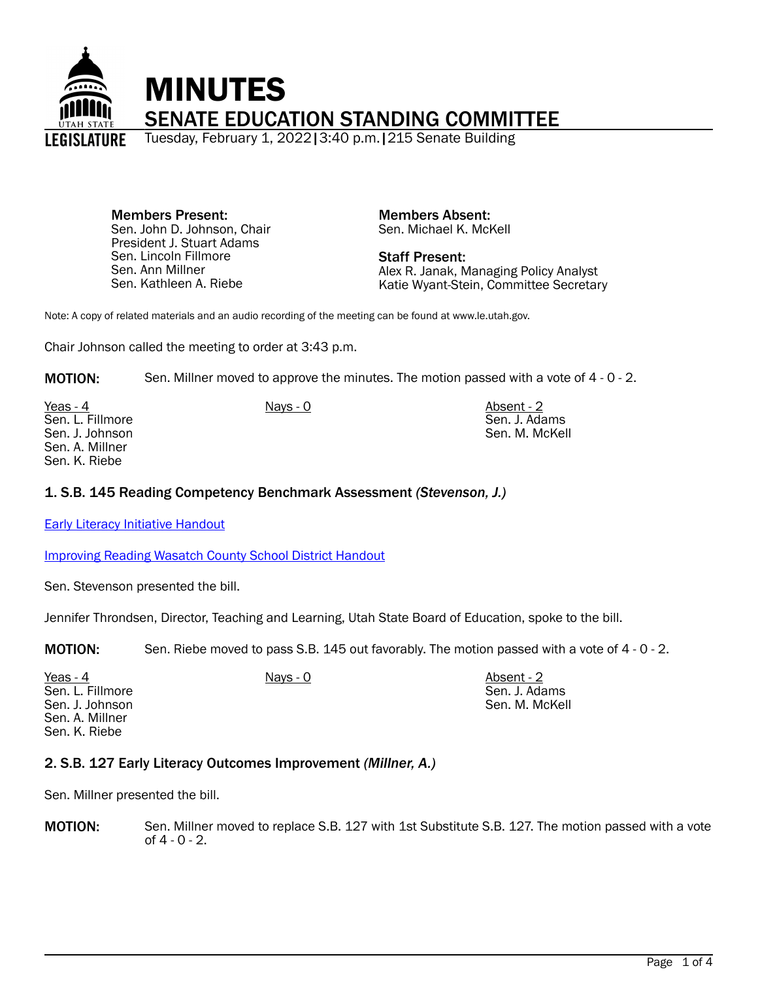

Members Present: Sen. John D. Johnson, Chair President J. Stuart Adams Sen. Lincoln Fillmore Sen. Ann Millner Sen. Kathleen A. Riebe

Members Absent: Sen. Michael K. McKell

Staff Present: Alex R. Janak, Managing Policy Analyst Katie Wyant-Stein, Committee Secretary

Note: A copy of related materials and an audio recording of the meeting can be found at www.le.utah.gov.

Chair Johnson called the meeting to order at 3:43 p.m.

**MOTION:** Sen. Millner moved to approve the minutes. The motion passed with a vote of 4 - 0 - 2.

Yeas - 4 Nays - 0 Nays - 0 Absent - 2 Sen. L. Fillmore Sen. J. Johnson Sen. A. Millner Sen. K. Riebe

Sen. J. Adams Sen. M. McKell

## 1. S.B. 145 Reading Competency Benchmark Assessment *(Stevenson, J.)*

**[Early Literacy Initiative Handout](https://le.utah.gov/interim/2022/pdf/00001318.pdf)** 

[Improving Reading Wasatch County School District Handout](https://le.utah.gov/interim/2022/pdf/00001319.pdf)

Sen. Stevenson presented the bill.

Jennifer Throndsen, Director, Teaching and Learning, Utah State Board of Education, spoke to the bill.

MOTION: Sen. Riebe moved to pass S.B. 145 out favorably. The motion passed with a vote of 4 - 0 - 2.

<u>Yeas - 4</u> Nays - 0 Nays - 0 Absent - 2 Sen. L. Fillmore Sen. J. Johnson Sen. A. Millner Sen. K. Riebe

Sen. J. Adams Sen. M. McKell

## 2. S.B. 127 Early Literacy Outcomes Improvement *(Millner, A.)*

Sen. Millner presented the bill.

MOTION: Sen. Millner moved to replace S.B. 127 with 1st Substitute S.B. 127. The motion passed with a vote of 4 - 0 - 2.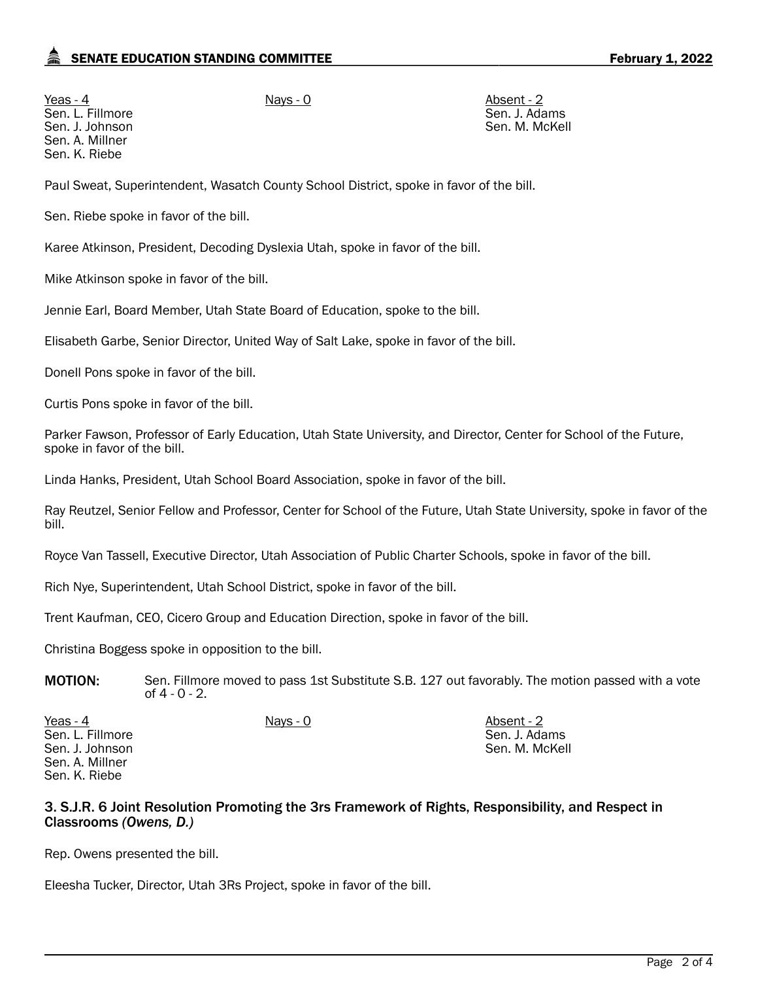# SENATE EDUCATION STANDING COMMITTEE **February 1, 2022**

Yeas - 4 Nays - 0 Nays - 0 Absent - 2 Sen. L. Fillmore Sen. J. Johnson Sen. A. Millner Sen. K. Riebe

Sen. J. Adams Sen. M. McKell

Paul Sweat, Superintendent, Wasatch County School District, spoke in favor of the bill.

Sen. Riebe spoke in favor of the bill.

Karee Atkinson, President, Decoding Dyslexia Utah, spoke in favor of the bill.

Mike Atkinson spoke in favor of the bill.

Jennie Earl, Board Member, Utah State Board of Education, spoke to the bill.

Elisabeth Garbe, Senior Director, United Way of Salt Lake, spoke in favor of the bill.

Donell Pons spoke in favor of the bill.

Curtis Pons spoke in favor of the bill.

Parker Fawson, Professor of Early Education, Utah State University, and Director, Center for School of the Future, spoke in favor of the bill.

Linda Hanks, President, Utah School Board Association, spoke in favor of the bill.

Ray Reutzel, Senior Fellow and Professor, Center for School of the Future, Utah State University, spoke in favor of the bill.

Royce Van Tassell, Executive Director, Utah Association of Public Charter Schools, spoke in favor of the bill.

Rich Nye, Superintendent, Utah School District, spoke in favor of the bill.

Trent Kaufman, CEO, Cicero Group and Education Direction, spoke in favor of the bill.

Christina Boggess spoke in opposition to the bill.

**MOTION:** Sen. Fillmore moved to pass 1st Substitute S.B. 127 out favorably. The motion passed with a vote of 4 - 0 - 2.

Yeas - 4 Nays - 0 Nays - 0 Absent - 2 Sen. L. Fillmore Sen. J. Johnson Sen. A. Millner Sen. K. Riebe Sen. J. Adams Sen. M. McKell

## 3. S.J.R. 6 Joint Resolution Promoting the 3rs Framework of Rights, Responsibility, and Respect in Classrooms *(Owens, D.)*

Rep. Owens presented the bill.

Eleesha Tucker, Director, Utah 3Rs Project, spoke in favor of the bill.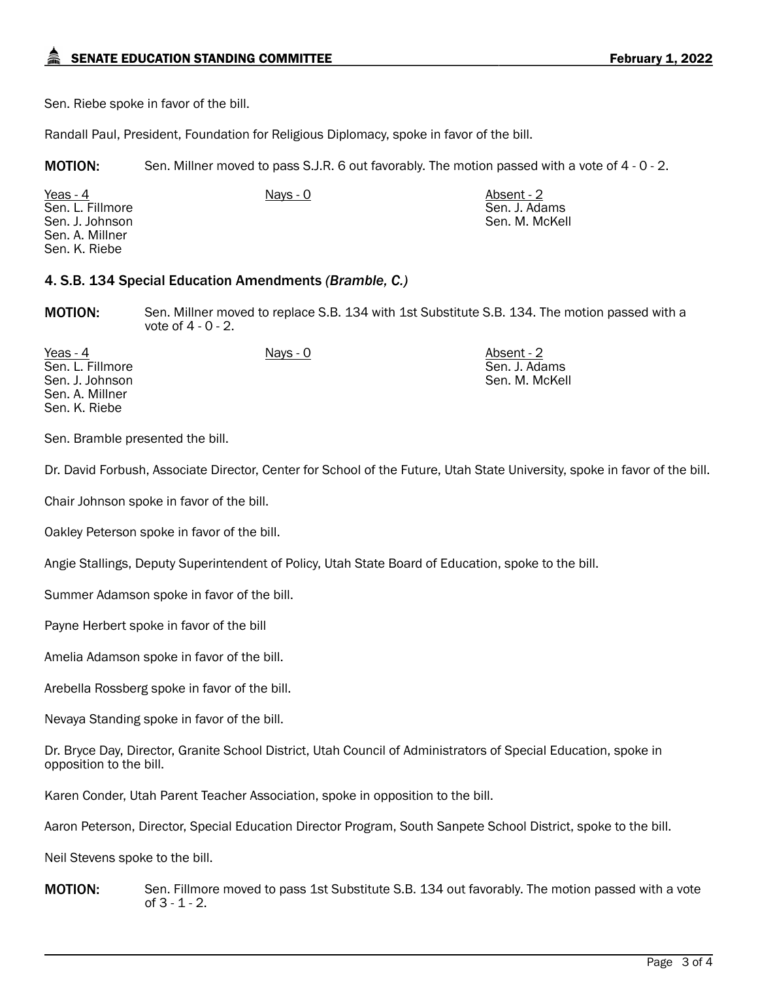Sen. Riebe spoke in favor of the bill.

Randall Paul, President, Foundation for Religious Diplomacy, spoke in favor of the bill.

MOTION: Sen. Millner moved to pass S.J.R. 6 out favorably. The motion passed with a vote of 4 - 0 - 2.

<u>Yeas - 4</u> Nays - 0 Nays - 0 Absent - 2 Sen. L. Fillmore Sen. J. Johnson Sen. A. Millner Sen. K. Riebe Sen. J. Adams Sen. M. McKell

## 4. S.B. 134 Special Education Amendments *(Bramble, C.)*

MOTION: Sen. Millner moved to replace S.B. 134 with 1st Substitute S.B. 134. The motion passed with a vote of 4 - 0 - 2.

<u>Yeas - 4</u> Nays - 0 Nays - 0 Absent - 2 Sen. L. Fillmore Sen. J. Johnson Sen. A. Millner Sen. K. Riebe

Sen. J. Adams Sen. M. McKell

Sen. Bramble presented the bill.

Dr. David Forbush, Associate Director, Center for School of the Future, Utah State University, spoke in favor of the bill.

Chair Johnson spoke in favor of the bill.

Oakley Peterson spoke in favor of the bill.

Angie Stallings, Deputy Superintendent of Policy, Utah State Board of Education, spoke to the bill.

Summer Adamson spoke in favor of the bill.

Payne Herbert spoke in favor of the bill

Amelia Adamson spoke in favor of the bill.

Arebella Rossberg spoke in favor of the bill.

Nevaya Standing spoke in favor of the bill.

Dr. Bryce Day, Director, Granite School District, Utah Council of Administrators of Special Education, spoke in opposition to the bill.

Karen Conder, Utah Parent Teacher Association, spoke in opposition to the bill.

Aaron Peterson, Director, Special Education Director Program, South Sanpete School District, spoke to the bill.

Neil Stevens spoke to the bill.

**MOTION:** Sen. Fillmore moved to pass 1st Substitute S.B. 134 out favorably. The motion passed with a vote of 3 - 1 - 2.